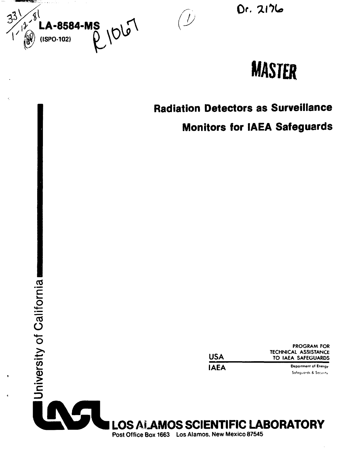

Dr. 2176

 $\bigcup$ 

# **MASrER**

# **Radiation Detectors as Surveillance**

**Monitors for IAEA Safeguards**

| USA  | <b>PROGRAM FOR</b><br>TECHNICAL ASSISTANCE<br>TO IAEA SAFEGUARDS |
|------|------------------------------------------------------------------|
| IAEA | Department of Energy                                             |
|      | Safeguards & Security                                            |

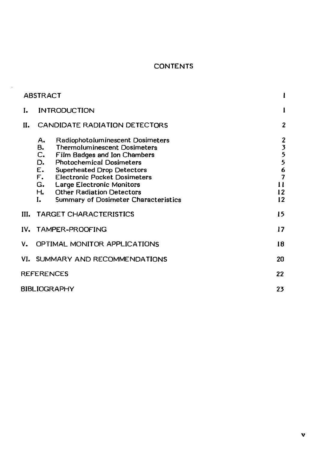## **CONTENTS**

|    | <b>ABSTRACT</b>                                                          |                                                                                                                                                                                                                                                                                                                                               |                                                     |
|----|--------------------------------------------------------------------------|-----------------------------------------------------------------------------------------------------------------------------------------------------------------------------------------------------------------------------------------------------------------------------------------------------------------------------------------------|-----------------------------------------------------|
| I. |                                                                          | <b>INTRODUCTION</b>                                                                                                                                                                                                                                                                                                                           | -1                                                  |
| н. |                                                                          | CANDIDATE RADIATION DETECTORS                                                                                                                                                                                                                                                                                                                 | $\overline{2}$                                      |
|    | А.<br>в.<br>$C_{\bullet}$<br>D.<br>E.<br>$F_{\bullet}$<br>G.<br>н.<br>L. | Radiophotoluminescent Dosimeters<br><b>Thermoluminescent Dosimeters</b><br><b>Film Badges and Ion Chambers</b><br><b>Photochemical Dosimeters</b><br><b>Superheated Drop Detectors</b><br><b>Electronic Pocket Dosimeters</b><br><b>Large Electronic Monitors</b><br><b>Other Radiation Detectors</b><br>Summary of Dosimeter Characteristics | 2355<br>$\frac{6}{7}$<br>П<br>12 <sup>2</sup><br>12 |
| Ш. |                                                                          | <b>TARGET CHARACTERISTICS</b>                                                                                                                                                                                                                                                                                                                 | 15                                                  |
|    |                                                                          | IV. TAMPER-PROOFING                                                                                                                                                                                                                                                                                                                           | 17                                                  |
| ٧. |                                                                          | OPTIMAL MONITOR APPLICATIONS                                                                                                                                                                                                                                                                                                                  | 18                                                  |
|    |                                                                          | VI. SUMMARY AND RECOMMENDATIONS                                                                                                                                                                                                                                                                                                               | 20                                                  |
|    | <b>REFERENCES</b>                                                        |                                                                                                                                                                                                                                                                                                                                               | 22                                                  |
|    | BIBLIOGRAPHY                                                             |                                                                                                                                                                                                                                                                                                                                               | 23                                                  |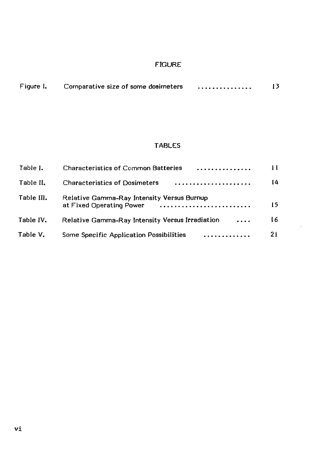## FIGURE

| Figure I. | Comparative size of some dosimeters | . | 13 |
|-----------|-------------------------------------|---|----|
|           |                                     |   |    |

# TABLES

 $\cdot$ 

| Table I.   | <b>Characteristics of Common Batteries</b><br>. <i>.</i>               | 11 |
|------------|------------------------------------------------------------------------|----|
| Table II.  | <b>Characteristics of Dosimeters</b>                                   | 14 |
| Table III. | Relative Gamma-Ray Intensity Versus Burnup<br>at Fixed Operating Power | 15 |
| Table IV.  | Relative Gamma-Ray Intensity Versus Irradiation<br>$\cdot \cdot \cdot$ | 16 |
| Table V.   | Some Specific Application Possibilities                                | 21 |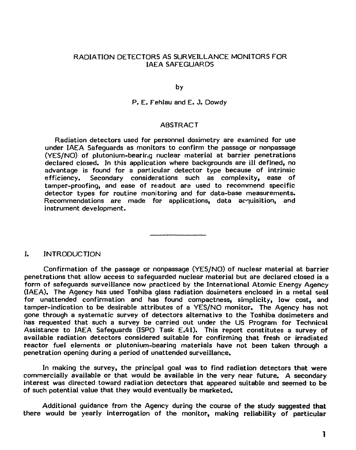#### RADIATION DETECTORS AS SURVEILLANCE MONITORS FOR IAEA SAFEGUARDS

by

P. E. Fehlau and E. J. Dowdy

#### ABSTRACT

Radiation detectors used for personnel dosimetry are examined for use under IAEA Safeguards as monitors to confirm the passage or nonpassage (YES/NO) of plutonium-bearir.g nuclear material at barrier penetrations declared closed. In this application where backgrounds are ill defined, no advantage is found for a particular detector type because of intrinsic efficiency. Secondary considerations such as complexity, ease of tamper-proofing, and ease of readout are used to recommend specific detector types for routine monitoring and for data-base measurements. Recommendations are made for applications, data acquisition, and instrument development.

I. INTRODUCTION

Confirmation of the passage or nonpassage (YES/NO) of nuclear material at barrier penetrations that allow access to safeguarded nuclear material but are declared closed is a form of safeguards surveillance now practiced by the International Atomic Energy Agency (IAEA). The Agency has used Toshiba glass radiation dosimeters enclosed in a metal seal for unattended confirmation and has found compactness, simplicity, low cost, and tamper-indication to be desirable attributes of a YES/NO monitor. The Agency has not gone through a systematic survey of detectors alternative to the Toshiba dosimeters and has requested that such a survey be carried out under the US Program for Technical Assistance to IAEA Safeguards (ISPO Task E.41). This report constitutes a survey of available radiation detectors considered suitable for confirming that fresh or irradiated reactor fuel elements or plutonium-bearing materials have not been taken through a penetration opening during a period of unattended surveillance.

In making the survey, the principal goal was to find radiation detectors that were commercially available or that would be available in the very near future. A secondary interest was directed toward radiation detectors that appeared suitable and seemed to be of such potential value that they would eventually be marketed.

Additional guidance from the Agency during the course of the study suggested that there would be yearly interrogation of the monitor, making reliability of particular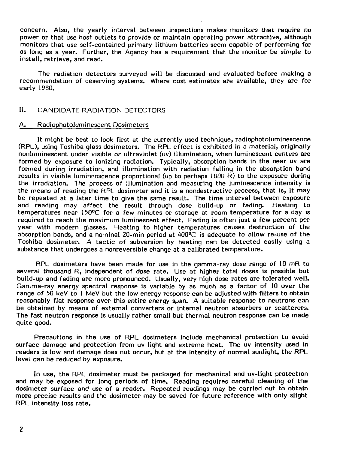concern. Also, the yearly interval between inspections makes monitors that require no power or that use host outlets to provide or maintain operating power attractive, although monitors that use self-contained primary lithium batteries seem capable of performing for as long as a year. Further, the Agency has a requirement that the monitor be simple to install, retrieve, and read.

The radiation detectors surveyed will be discussed and evaluated before making a recommendation of deserving systems. Where cost estimates are available, they are for early 1980.

#### II. CANDIDATE RADIATION DETECTORS

#### A. Radiophotoluminescent Dosimeters

It might be best to look first at the currently used technique, radiophotoluminescence (RPL), using Toshiba glass dosimeters. The RPL effect is exhibited in a material, originally nonluminescent under visible or ultraviolet (uv) illumination, when luminescent centers are formed by exposure to ionizing radiation. Typically, absorption bands in the near uv are formed during irradiation, and illumination with radiation falling in the absorption band results in visible luminenscence proportional (up to perhaps 1000 R) to the exposure during the irradiation. The process of illumination and measuring the luminescence intensity is the means of reading the RPL dosimeter and it is a nondestructive process, that is, it may be repeated at a later time to give the same result. The time interval between exposure and reading may affect the result through dose build-up or fading. Heating to temperatures near 150°C for a few minutes or storage at room temperature for a day is required to reach the maximum luminescent effect. Fading is often just a few percent per year with modern glasses. Heating to higher temperatures causes destruction of the absorption bands, and a nominal 20-min period at 400°C is adequate to allow re-use of the Toshiba dosimeter. A tactic of subversion by heating can be detected easily using a substance that undergoes a nonreversible change at a calibrated temperature.

RPL dosimeters have been made for use in the gamma-ray dose range of 10 mR to several thousand R, independent of dose rate. Use at higher total doses is possible but build-up and fading are more pronounced. Usually, very high dose rates are tolerated well. Gamma-ray energy spectral response is variable by as much as a factor of 10 over the range of 50 keV to 1 MeV but the low energy response can be adjusted with filters to obtain reasonably flat response over this entire energy span. A suitable response to neutrons can be obtained by means of external converters or internal neutron absorbers or scatterers. The fast neutron response is usually rather small but thermal neutron response can be made quite good.

Precautions in the use of RPL dosimeters include mechanical protection to avoid surface damage and protection from uv light and extreme heat. The uv intensity used in readers is low and damage does not occur, but at the intensity of normal sunlight, the RPL level can be reduced by exposure.

In use, the RPL dosimeter must be packaged for mechanical and uv-light protection and may be exposed for long periods of time. Reading requires careful cleaning of the dosimeter surface and use of a reader. Repeated readings may be carried out to obtain more precise results and the dosimeter may be saved for future reference with only slight RPL intensity loss rate.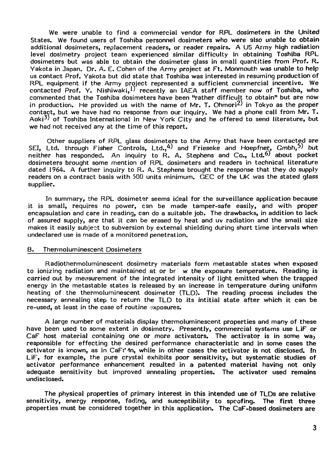We were unable to find a commercial vendor for RPL dosimeters in the United States. We found users of Toshiba personnel dosimeters who were also unable to obtain additional dosimeters, replacement readers, or reader repairs. A US Army high radiation level dosimetry project team experienced similar difficulty in obtaining Toshiba RPL dosimeters but was able to obtain the dosimeter glass in small quantities from Prof. R. Yakota in Japan. Dr. A. E. Cohen of the Army project at Ft. Monmouth was unable to help us contact Prof. Yakota but did state that Toshiba was interested in resuming production of RPL equipment if the Army project represented a sufficient commercial incentive. We contacted Prof. Y. Nishiwaki,  $D'$  recently an IAEA staff member now of Toshiba, who commented that the Toshiba dosimeters have been "rather difficult to obtain" but are now in production. He provided us with the name of Mr. T. Ohmori<sup>2)</sup> in Tokyo as the proper contact, but we have had no response from our inquiry. We had a phone call from Mr. T. Aoki<sup>3)</sup> of Toshiba International in New York City and he offered to send literature, but we had not received any at the time of this report.

Other suppliers of RPL glass dosimeters to the Army that have been contacted are SEI, Ltd. through Fisher Controls, Ltd., 4) and Frieseke and Hoepfner,  $G$ mbh, 5) but neither has responded. An inquiry to R. A. Stephens and Co., Ltd.<sup>6)</sup> about pocket dosimeters brought some mention of RPL dosimeters and readers in technical literature dated 1964. A further inquiry to R. A. Stephens brought the response that they do supply readers on a contract basis with 500 units minimum. GEC of the UK was the stated glass supplier.

In summary, the RPL dosimeter seems ideal for the surveillance application because it is small, requires no power, can be made tamper-safe easily, and with proper encapsulation and care in reading, can do a suitable job. The drawbacks, in addition to lack of assured supply, are that it can be erased by heat and uv radiation and the small size makes it easily subject to subversion by external shielding during short time intervals when undeclared use is made of a monitored penetration.

#### B. Thermoluminescent Dosimeters

Radiothermoluminescent dosimetry materials form metastable states when exposed to ionizing radiation and maintained at or  $b\epsilon$  w the exposure temperature. Reading is carried out by measurement of the integrated intensity of light emitted when the trapped energy in the metastable states is released by an increase in temperature during uniform heating of the thermoluminescent dosimeter (TLD). The reading process includes the necessary annealing step to return the TLD to its intitial state after which it can be re-used, at least in the case of routine exposures.

A large number of materials display thermoluminescent properties and many of these have been used to some extent in dosimetry. Presently, commercial systems use LiF or CaF host material containing one or more activators. The activator is in some way responsible for effecting the desired performance characteristic and in some cases the activator is known, as in CaF:'In, while in other cases the activator is not disclosed. In LiF, for example, the pure crystal exhibits poor sensitivity, but systematic studies of activator performance enhancement resulted in a patented material having not only adequate sensitivity but improved annealing properties. The activator used remains undisclosed.

The physical properties of primary interest in this intended use of TLDs are relative sensitivity, energy response, fading, and susceptibility to spoofing. The first three properties must be considered together in this application. The CaF-based dosimeters are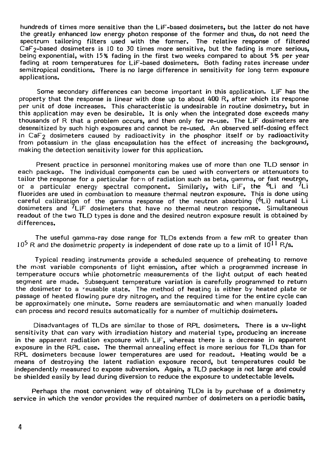hundreds of times more sensitive than the LiF-based dosimeters, but the latter do not have the greatly enhanced low energy photon response of the former and thus, do not need the spectrum tailoring filters used with the former. The relative response of filtered  $Caf_2-based$  dosimeters is 10 to 30 times more sensitive, but the fading is more serious, being exponential, with 15% fading in the first two weeks compared to about 5% per year fading at room temperatures for LiF-based dosimeters. Both fading rates increase under semitropical conditions. There is no large difference in sensitivity for long term exposure applications.

Some secondary differences can become important in this application. LiF has the property that the response is linear with dose up to about 400 R, after which its response per unit of dose increases. This characteristic is undesirable in routine dosimetry, but in this application may even be desirable. It is only when the integrated dose exceeds many thousands of R that a problem occurs, and then only for re-use. The LiF dosimeters are desensitized by such high exposures and cannot be re-used. An observed self-dosing effect in CaF<sub>2</sub> dosimeters caused by radioactivity in the phosphor itself or by radioactivity from potassium in the glass encapsulation has the effect of increasing the background, making the detection sensitivity lower for this application.

Present practice in personnel monitoring makes use of more than one TLD sensor in each package. The individual components can be used with converters or attenuators to tailor the response for a particular form of radiation such as beta, gamma, or fast neutron, or a particular energy spectral component. Similarly, with LiF, the  $6Li$  and  $7Li$ fluorides are used in combination to measure thermal neutron exposure. This is done using careful calibration of the gamma response of the neutron absorbing  $(6Li)$  natural Li dosimeters and  $\frac{7}{1}$  dosimeters that have no thermal neutron response. Simultaneous readout of the two TLD types is done and the desired neutron exposure result is obtained by differences.

The useful gamma-ray dose range for TLDs extends from a few mR to greater than  $10^5$  R and the dosimetric property is independent of dose rate up to a limit of  $10^{11}$  R/s.

Typical reading instruments provide a scheduled sequence of preheating to remove the most variable components of light emission, after which a programmed increase in temperature occurs while photometric measurements of the light output of each heated segment are made. Subsequent temperature variation is carefully programmed to return the dosimeter to a "eusable state. The method of heating is either by heated plate or passage of heated flowing pure dry nitrogen, and the required time for the entire cycle can be approximately one minute. Some readers are semiautomatic and when manually loaded can process and record results automatically for a number of multichip dosimeters.

Disadvantages of TLDs are similar to those of RPL dosimeters. There is a uv-light sensitivity that can vary with irradiation history and material type, producing an increase in the apparent radiation exposure with LiF, whereas there is a decrease in apparent exposure in the RPL case. The thermal annealing effect is more serious for TLDs than for RPL dosimeters because lower temperatures are used for readout. Heating would be a means of destroying the latent radiation exposure record, but temperatures could be independently measured to expose subversion. Again, a TLD package is not large and could be shielded easily by lead during diversion to reduce the exposure to undetectable levels.

Perhaps the most convenient way of obtaining TLDs is by purchase of a dosimetry service in which the vendor provides the required number of dosimeters on a periodic basis,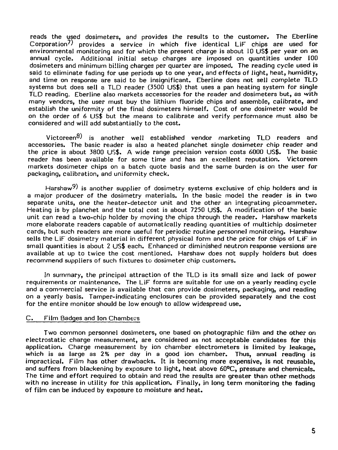reads the used dosimeters, and provides the results to the customer. The Eberline Corporation<sup>7)</sup> provides a service in which five identical Lif chips are used for environmental monitoring and for which the present charge is about 10 US\$ per year on an annual cycle. Additional initial setup charges are imposed on quantities under 100 dosimeters and minimum billing charges per quarter are imposed. The reading cycle used is said to eliminate fading for use periods up to one year, and effects of light, heat, humidity, and time on response are said to be insignificant. Eberline does not sell complete TLD systems but does sell a TLD reader (3500 US\$) that uses a pan heating system for single TLD reading, Eberline also markets accessories for the reader and dosimeters but, as with many vendors, the user must buy the lithium fluoride chips and assemble, calibrate, and establish the uniformity of the final dosimeters himself. Cost of one dosimeter would be on the order of 6 US\$ but the means to calibrate and verify performance must also be considered and will add substantially to the cost.

Victoreen $^{8)}$  is another well established vendor marketing TLD readers and accessories. The basic reader is also a heated planchet single dosimeter chip reader and the price is about 3800 U5\$. A wide range precision version costs 6000 US\$. The basic reader has been available for some time and has an excellent reputation. Victoreen markets dosimeter chips on a batch quote basis and the same burden is on the user for packaging, calibration, and uniformity check.

Harshaw<sup>9)</sup> is another supplier of dosimetry systems exclusive of chip holders and is a major producer of the dosimetry materials. In the basic model the reader is in two separate units, one the heater-detector unit and the other an integrating picoammeter. Heating is by planchet and the total cost is about 7250 US\$. A modification of the basic unit can read a two-chip holder by moving the chips through the reader. Harshaw markets more elaborate readers capable of automatically reading quantities of multichip dosimeter cards, but such readers are more useful for periodic routine personnel monitoring. Harshaw sells the LiF dosimetry material in different physical form and the price for chips of LiF in small quantities is about 2 US\$ each. Enhanced or diminished neutron response versions are available at up to twice the cost mentioned. Harshaw does not supply holders but does recommend suppliers of such fixtures to dosimeter chip customers.

In summary, the principal attraction of the TLD is its small size and lack of power requirements or maintenance. The LiF forms are suitable for use on a yearly reading cycle and a commercial service is available that can provide dosimeters, packaging, and reading on a yearly basis. Tamper-indicating enclosures can be provided separately and the cost for the entire monitor should be low enough to allow widespread use.

#### C. Film Badges and Ion Chambers

Two common personnel dosimeters, one based on photographic film and the other on electrostatic charge measurement, are considered as not acceptable candidates for this application. Charge measurement by ion chamber electrometers is limited by leakage, which is as large as 2% per day in a good ion chamber. Thus, annual reading is impractical. Film has other drawbacks. It is becoming more expensive, is not reusable, and suffers from blackening by exposure to light, heat above 60°C, pressure and chemicals. The time and effort required to obtain and read the results are greater than other methods with no increase in utility for this application. Finally, in long term monitoring the fading of film can be induced by exposure to moisture and heat.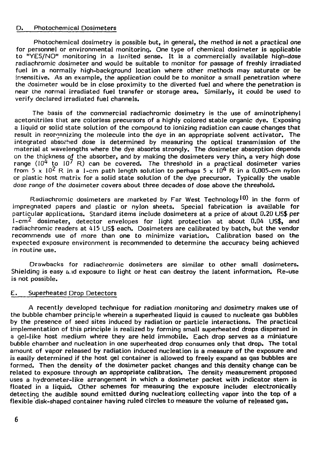#### D. Photochemical Dosimeters

Photochemical dosimetry is possible but, in general, the method is not a practical one for personnel or environmental monitoring. One type of chemical dosimeter is applicable to "YES/NO" monitoring in a limited sense. It is a commercially available high-dose radiachromic dosimeter and would be suitable to monitor for passage of freshly irradiated fuel in a normally high-background location where other methods may saturate or be insensitive. As an example, the application could be to monitor a small penetration where the dosimeter would be in close proximity to the diverted fuel and where the penetration is near the normal irradiated fuel transfer or storage area. Similarly, it could be used to verify declared irradiated fuel channels.

The basis of the commercial radiachromic dosimetry is the use of aminotriphenyl acetonitriles that are colorless precursors of a highly colored stable organic dye. Exposing a liquid or solid state solution of the compound to ionizing radiation can cause changes that result in reorganizing the molecule into the dye in an appropriate solvent activator. The integrated absorbed dose is determined by measuring the optical transmission of the material at wavelengths where the dye absorbs strongly. The dosimeter absorption depends on the thickness of the absorber, and by making the dosimeters very thin, a very high dose range ( $10^4$  to  $10^7$  R) can be covered. The threshold in a practical dosimeter varies from  $5 \times 10^{2}$  R in a 1-cm path length solution to perhaps  $5 \times 10^{4}$  R in a 0.005-cm nylon or plastic host matrix for a solid state solution of the dye precursor. Typically the usable dose range of the dosimeter covers about three decades of dose above the threshold.

Radiachromic dosimeters are marketed by Far West Technology<sup>10</sup> in the form of impregnated papers and plastic or nylon sheets. Special fabrication is available for particular applications. Standard items include dosimeters at a price of about 0.20 US\$ per 1-cm<sup>2</sup> dosimeter, detector envelopes for light protection at about 0.04 US\$, and radiachromic readers at 415 US\$ each. Dosimeters are calibrated by batch, but the vendor recommends use of more than one to minimize variation. Calibration based on the expected exposure environment is recommended to determine the accuracy being achieved in routine use.

Drawbacks for radiachromic dosimeters are similar to other small dosimeters. Shielding is easy a.id exposure to light or heat can destroy the latent information. Re-use is not possible.

#### E. Superheated Drop Detectors

A recently developed technique for radiation monitoring and dosimetry makes use of the bubble chamber principle wherein a superheated liquid is caused to nucleate gas bubbles by the presence of seed sites induced by radiation or particle interactions. The practical implementation of this principle is realized by forming small superheated drops dispersed in a gel-like host medium where they are held immobile. Each drop serves as a miniature bubble chamber and nucleation in one superheated drop consumes only that drop. The total amount of vapor released by radiation induced nucleation is a measure of the exposure and is easily determined if the host gel container is allowed to freely expand as gas bubbles are formed. Then the density of the dosimeter packet changes and this density change can be related to exposure through an appropriate calibration. The density measurement proposed uses a hydrometer-like arrangement in which a dosimeter packet with indicator stem is floated in a liquid. Other schemes for measuring the exposure include: electronically detecting the audible sound emitted during nucleation; collecting vapor into the top of a flexible disk-shaped container having ruled circles to measure the volume of released gas.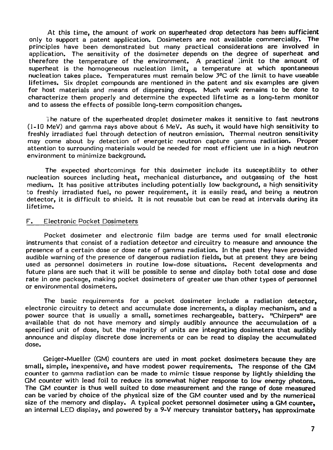At this time, the amount of work on superheated drop detectors has been sufficient only to support a patent application. Dosimeters are not available commercially. The principles have been demonstrated but many practical considerations are involved in application. The sensitivity of the dosimeter depends on the degree of superheat and therefore the temperature of the environment. A practical limit to the amount of superheat is the homogeneous nucleation limit, a temperature at which spontaneous nucleation takes place. Temperatures must remain below 3°C of the limit to have useable lifetimes. Six droplet compounds are mentioned in the patent and six examples are given for host materials and means of dispersing drops. Much work remains to be done to characterize them properly and determine the expected lifetime as a long-term monitor and to assess the effects of possible long-term composition changes.

The nature of the superheated droplet dosimeter makes it sensitive to fast neutrons (1-10 MeV) and gamma rays above about 6 MeV. As such, it would have high sensitivity to freshly irradiated fuel through detection of neutron emission. Thermal neutron sensitivity may come about by detection of energetic neutron capture gamma radiation. Proper attention to surrounding materials would be needed for most efficient use in a high neutron environment to minimize background.

The expected shortcomings for this dosimeter include its susceptiblity to other nucleation sources including heat, mechanical disturbance, and outgassing of the host medium. It has positive attributes including potentially low background, a high sensitivity to freshly irradiated fuel, no power requirement, it is easily read, and being a neutron detector, it is difficult to shield. It is not reusable but can be read at intervals during its lifetime.

#### F. Electronic Pocket Dosimeters

Pocket dosimeter and electronic film badge are terms used for small electronic instruments that consist of a radiation detector and circuitry to measure and announce the presence of a certain dose or dose rate of gamma radiation. In the past they have provided audible warning of the presence of dangerous radiation fields, but at present they are being used as personnel dosimeters in routine low-dose situations. Recent developments and future plans are such that it will be possible to sense and display both total dose and dose rate in one package, making pocket dosimeters of greater use than other types of personnel or environmental dosimeters.

The basic requirements for a pocket dosimeter include a radiation detector, electronic circuitry to detect and accumulate dose increments, a display mechanism, and a power source that is usually a small, sometimes rechargeable, battery. "Chirpers" are available that do not have memory and simply audibly announce the accumulation of a specified unit of dose, but the majority of units are integrating dosimeters that audibly announce and display discrete dose increments or can be read to display the accumulated dose.

Geiger-Mueller (GM) counters are used in most pocket dosimeters because they are small, simple, inexpensive, and have modest power requirements. The response of the GM counter to gamma radiation can be made to mimic tissue response by lightly shielding the GM counter with lead foil to reduce its somewhat higher response to low energy photons. The GM counter is thus well suited to dose measurement and the range of dose measured can be varied by choice of the physical size of the GM counter used and by the numerical size of the memory and display. A typical pocket personnel dosimeter using a GM counter, an internal LED display, and powered by a 9-V mercury transistor battery, has approximate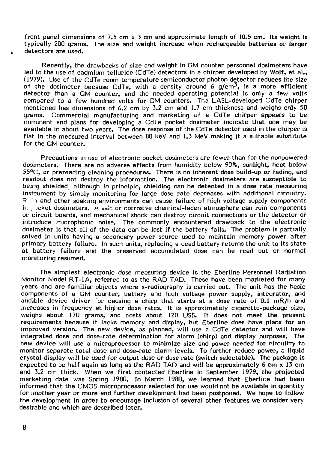front panel dimensions of 7.5 cm  $\times$  3 cm and approximate length of 10.5 cm. Its weight is typically 200 grams. The size and weight increase when rechargeable batteries or larger detectors are used.

Recently, the drawbacks of size and weight in GM counter personnel dosimeters have led to the use of cadmium telluride (CdTe) detectors in a chirper developed by Wolf, et al., (1979). Use of the CdTe room temperature semiconductor photon detector reduces the size of the dosimeter because CdTe, with a density around 6  $q/cm^3$ , is a more efficient detector than a GM counter, and the needed operating potential is only a few volts compared to a few hundred volts for GM counters. The LASL-developed CdTe chirper mentioned has dimensions of 6.2 cm by 3.2 cm and 1.7 cm thickness and weighs only 50 grams. Commercial manufacturing and marketing of a CdTe chirper appears to be imminent and plans for developing a CdTe pocket dosimeter indicate that one may be available in about two years. The dose response of the CdTe detector used in the chirper is flat in the measured interval between 80 keV and 1.3 MeV making it a suitable substitute for the GM counter.

Precautions in use of electronic pocket dosimeters are fewer than for the nonpowered dosimeters. There are no adverse effects from humidity below 90%, sunlight, heat below 55°C, or prereading cleaning procedures. There is no inherent dose build-up or fading, and readout does not destroy the information. The electronic dosimeters are susceptible to being shielded, although in principle, shielding can be detected in a dose rate measuring instrument by simply monitoring for large dose rate decreases with additional circuitry.  $R^+$  and other soaking environments can cause failure of high voltage supply components ir , jcket dosimeters. A salt or corrosive chemical-laden atmosphere can ruin components or circuit boards, and mechanical shock can destroy circuit connections or the detector or introduce microphonic noise. The commonly encountered drawback to the electronic dosimeter is that all of the data can be lost if the battery fails. The problem is partially solved in units having a secondary power source used to maintain memory power after primary battery failure. In such units, replacing a dead battery returns the unit to its state at battery failure and the preserved accumulated dose can be read out or normal monitoring resumed.

The simplest electronic dose measuring device is the Eberline Personnel Radiation Monitor Model RT-1A, referred to as the RAD TAD. These have been marketed for many years and are familiar objects where x-radiography is carried out. The unit has the basic components of a GM counter, battery and high voltage power supply, integrator, and audible device driver for causing a chirp that starts at a dose rate of 0.1 mR/h and increases in frequency at higher dose rates. It is approximately cigarette-package size, weighs about 170 grams, and costs about 120 US\$. It does not meet the present requirements because it lacks memory and display, but Eberline does have plans for an improved version. The new device, as planned, will use a CdTe detector and will have integrated dose and dose-rate determination for alarm (chirp) and display purposes. The new device will use a microprocessor to minimize size and power needed for circuitry to monitor separate total dose and dose-rate alarm levels. To further reduce power, a liquid crystal display will be used for output dose or dose rate (switch selectable). The package is expected to be half again as long as the RAD TAD and will be approximately 6 cm x 13 cm and 3.2 cm thick. When we first contacted Eberline in September 1979, the projected marketing date was Spring 1980. In March 1980, we learned that Eberline had been informed that the CMOS microprocessor selected for use would not be available in quantity for another year or more and further development had been postponed. We hope to follow the development in order to encourage inclusion of several other features we consider very desirable and which are described later.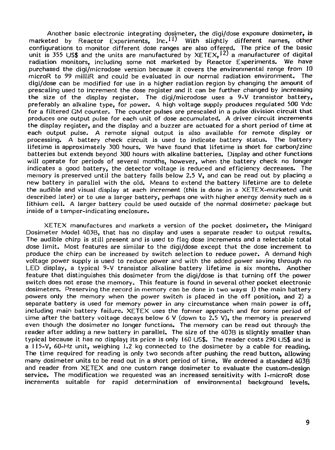Another basic electronic integrating dosimeter, the digi/dose exposure dosimeter, is marketed by Reactor Experiments, Inc. $^{11)}$  With slightly different names, other configurations to monitor different dose ranges are also offered. The price of the basic unit is 355 US\$ and the units are manufactured by  $XETEX$ ,  $12$ ) a manufacturer of digital radiation monitors, including some not marketed by Reactor Experiments. We have purchased the digi/microdose version because it covers the environmental range from 10 microR to 99 milliR and could be evaluated in our normal radiation environment. The digi/dose can be modified for use in a higher radiation region by changing the amount of prescaling used to increment the dose register and it can be further changed by increasing the size of the display register. The digi/microdose uses a 9-V transistor battery, preferably an alkaline type, for power. A high voltage supply produces regulated 500 Vdc for a filtered GM counter. The counter pulses are prescaled in a pulse division circuit that produces one output pulse for each unit of dose accumulated. A driver circuit increments the display register, and the display and a buzzer are actuated for a short period of time at each output pulse. A remote signal output is also available for remote display or processing. A battery check circuit is used to indicate battery status. The battery lifetime is approximately 300 hours. We have found that lifetime is short for carbon/zinc batteries but extends beyond 300 hours with alkaline batteries. Display and other functions will operate for periods of several months, however, when the battery check no longer indicates a good battery, the detector voltage is reduced and efficiency decreases. The memory is preserved until the battery falls below 2.5 V, and can be read out by placing a new battery in parallel with the old. Means to extend the battery lifetime are to delete the audible and visual display at each increment (this is done in a XETEX-marketed unit described later) or to use a larger battery, perhaps one with higher energy density such as a lithium cell. A larger battery could be used outside of the normal dosimeter package but inside of a tamper-indicating enclosure.

XETEX manufactures and markets a version of the pocket dosimeter, the Minigard Dosimeter Model 4Q3B, that has no display and uses a separate reader to output results. The audible chirp is still present and is used to flag dose increments and a selectable total dose limit. Most features are similar to the digi/dose except that the dose increment to produce the chirp can be increased by switch selection to reduce power. A demand high voltage power supply is used to reduce power and with the added power saving through no LED display, a typical 9-V transistor alkaline battery lifetime is six months. Another feature that distinguishes this dosimeter from the digi/dose is that turning off the power switch does not erase the memory. This feature is found in several other pocket electronic dosimeters. Preserving the record in memory can be done in two ways: 1) the main battery powers only the memory when the power switch is placed in the off position, and 2) a separate battery is used for memory power in any circumstance when main power is off, including main battery failure. XETEX uses the former approach and for some period of time after the battery voltage decays below 6 V (down to 2.5 V), the memory is preserved even though the dosimeter no longer functions. The memory can be read out through the reader after adding a new battery in parallel. The size of the 403B is slightly smaller than typical because it has no display; its price is only 160 US\$. The reader costs 290 US\$ and is a 115-V, 60-Hz unit, weighing 1.2 kg connected to the dosimeter by a cable for reading. The time required for reading is only two seconds after pushing the read button, allowing many dosimeter units to be read out in a short period of time. We ordered a standard 403B and reader from XETEX and one custom range dosimeter to evaluate the custom-design service. The modification we requested was an increased sensitivity with 1-microR dose increments suitable for rapid determination of environmental background levels.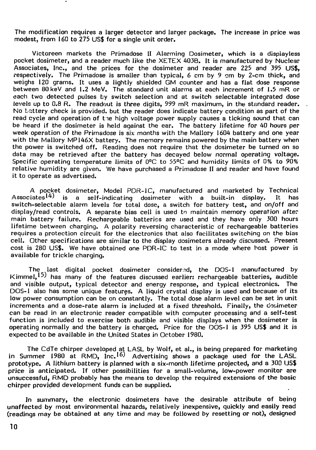The modification requires a larger detector and larger package. The increase in price was modest, from 160 to 275 US\$ for a single unit order.

Victoreen markets the Primadose II Alarming Dosimeter, which is a dispiayless pocket dosimeter, and a reader much like the XETEX 403B. It is manufactured by Nuclear Associates, Inc., and the prices for the dosimeter and reader are 225 and 395 US\$, respectively. The Primadose is smaller than typical, 6 cm by 9 cm by 2-cm thick, and weighs 120 grams. It uses a lightly shielded GM counter and has a flat dose response between 80keV and 1.2 MeV. The standard unit alarms at each increment of 1.5 mR or each two detected pulses by switch selection and at switch selectable integrated dose levels up to 0.8 R. The readout is three digits, 999 mR maximum, in the standard reader. No battery check is provided, but the reader does indicate battery condition as part of the read cycle and operation of the high voltage power supply causes a ticking sound that can be heard if the dosimeter is held against the ear. The battery lifetime for 40 hours per week operation of the Primadose is six months with the Mallory 1604 battery and one year with the Mallory MP146X battery. The memory remains powered by the main battery when the power is switched off. Reading does not require that the dosimeter be turned on so data may be retrieved after the battery has decayed below normal operating voltage. Specific operating temperature limits of 0°C to 55°C and humidity limits of 0% to 90% relative humidity are given. We have purchased a Primadose II and reader and have found it to operate as advertised.

A pocket dosimeter, Model PDR-1C, manufactured and marketed by Technical<br>Associates<sup>14)</sup> is a self-indicating dosimeter with a built-in display. It has is a self-indicating dosimeter with a built-in display. It has switch-selectable alarm levels for total dose, a switch for battery test, and on/off and display/read controls. A separate bias cell is used to maintain memory operation after main battery failure. Rechargeable batteries are used and they have only 300 hours lifetime between charging. A polarity reversing characteristic of rechargeable batteries requires a protection circuit for the electronics that also facilitates switching on the bias cell. Other specifications are similar to the display dosimeters already discussed. Present cost is 280 US\$. We have obtained one PDR-1C to test in a mode where host power is available for trickle charging.

The last digital pocket dosimeter considered, the DOS-1 manufactured by  $K$ immel,  $\left( \frac{15}{15} \right)$  has many of the features discussed earlier: rechargeable batteries, audible and visible output, typical detector and energy response, and typical electronics. The DOS-1 also has some unique features. A liquid crystal display is used and because of its low power consumption can be on constantly. The total dose alarm level can be set in unit increments and a dose-rate alarm is included at a fixed threshold. Finally, the dosimeter can be read in an electronic reader compatible with computer processing and a self-test function is included to exercise both audible and visible displays when the dosimeter is operating normally and the battery is charged. Price for the OOS-1 is 395 US\$ and it is expected to be available in the United States in October 1980.

The CdTe chirper developed at LASL by Wolf, et al., is being prepared for marketing in Summer 1980 at RMD,  $Inc.16$ ) Advertising shows a package used for the LASL prototype. A lithium battery is planned with a six-month lifetime projected, and a 300 US\$ price is anticipated. If other possibilities for a small-volume, low-power monitor are unsuccessful, RMD probably has the means to develop the required extensions of the basic chirper provided development funds can be supplied.

In summary, the electronic dosimeters have the desirable attribute of being unaffected by most environmental hazards, relatively inexpensive, quickly and easily read (readings may be obtained at any time and may be followed by resetting or not), designed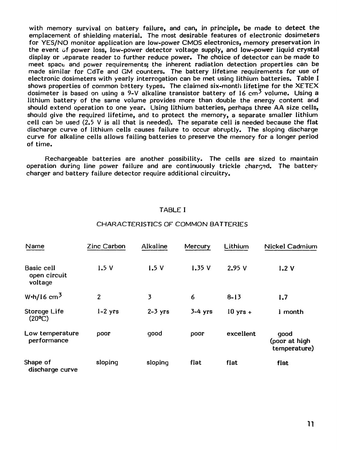with memory survival on battery failure, and can, in principle, be made to detect the emplacement of shielding material. The most desirable features of electronic dosimeters for YES/NO monitor application are low-power CMOS electronics, memory preservation in the event of power loss, low-power detector voltage supply, and low-power liquid crystal display or separate reader to further reduce power. The choice of detector can be made to meet space and power requirements; the inherent radiation detection properties can be made similar for CdTe and GM counters. The battery lifetime requirements for use of electronic dosimeters with yearly interrogation can be met using lithium batteries. Table I shows properties of common battery types. The claimed six-month lifetime for the XETEX dosimeter is based on using a 9-V alkaline transistor battery of 16  $cm<sup>3</sup>$  volume. Using a lithium battery of the same volume provides more than double the energy content and should extend operation to one year. Using lithium batteries, perhaps three AA size cells, should give the required lifetime, and to protect the memory, a separate smaller lithium cell can be used  $(2.5 \vee$  is all that is needed). The separate cell is needed because the flat discharge curve of lithium cells causes failure to occur abruptly. The sloping discharge curve for alkaline cells allows failing batteries to preserve the memory for a longer period of time.

Rechargeable batteries are another possibility. The cells are sized to maintain operation during line power failure and are continuously trickle charged. The battery charger and battery failure detector require additional circuitry.

#### TABLE I

#### CHARACTERISTICS OF COMMON BATTERIES

| Name                                  | Zinc Carbon    | Alkaline  | Mercury   | Lithium            | Nickel Cadmium                        |
|---------------------------------------|----------------|-----------|-----------|--------------------|---------------------------------------|
| Basic cell<br>open circuit<br>voltage | 1.5V           | 1.5V      | 1.35V     | 2.95V              | 1.2V                                  |
| W $\cdot$ h/16 cm <sup>3</sup>        | $\overline{2}$ | 3         | 6         | $8 - 13$           | 1.7                                   |
| Storage Life<br>$(20^{\circ}C)$       | $1-2$ yrs      | $2-3$ yrs | $3-4$ yrs | $10 \text{ yrs} +$ | I month                               |
| Low temperature<br>performance        | poor           | good      | poor      | excellent          | good<br>(poor at high<br>temperature) |
| Shape of<br>discharge curve           | sloping        | sloping   | flat      | flat               | flat                                  |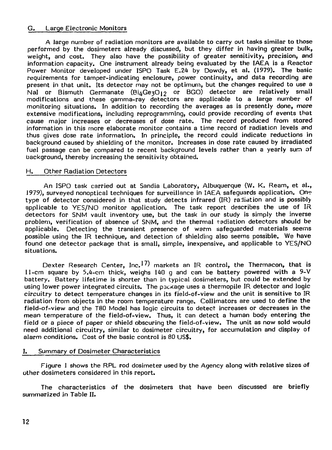#### G. Large Electronic Monitors

A large number of radiation monitors are available to carry out tasks similar to those performed by the dosimeters already discussed, but they differ in having greater bulk, weight, and cost. They also have the possibility of greater sensitivity, precision, and information capacity. One instrument already being evaluated by the IAEA is a Reactor Power Monitor developed under ISPO Task E.24 by Dowdy, et al. (1979). The basic requirements for tamper-indicating enclosure, power continuity, and data recording are present in that unit. Its detector may not be optimum, but the changes required to use a Nal or Bismuth Germanate (Bi $_4$ GezO<sub>12</sub> or BGO) detector are relatively small modifications and these gamma-ray detectors are applicable to a large number of monitoring situations. In addition to recording the averages as is presently done, more extensive modifications, including reprogramming, could provide recording of events that cause major increases or decreases of dose rate. The record produced from stored information in this more elaborate monitor contains a time record of radiation levels and thus gives dose rate information. In principle, the record could indicate reductions in background caused by shielding of the monitor. Increases in dose rate caused by irradiated fuel passage can be compared to recent background levels rather than a yearly sum of background, thereby increasing the sensitivity obtained.

#### H. Other Radiation Detectors

An ISPO task carried out at Sandia Laboratory, Albuquerque (W. K. Ream, et al., 1979), surveyed nonoptical techniques for surveillance in IAEA safeguards application. On? type of detector considered in that study detects infrared (IR) radiation and is possibly applicable to YES/NO monitor application. The task report describes the use of IR detectors for SNM vault inventory use, but the task in our study is simply the inverse problem, verification of absence of SNM, and the thermal radiation detectors should be applicable. Detecting the transient presence of warm safeguarded materials seems possible using the IR technique, and detection of shielding also seems possible. We have found one detector package that is small, simple, inexpensive, and applicable to YES/NO situations.

Dexter Research Center, Inc.<sup>17)</sup> markets an IR control, the Thermacon, that is 11-cm square by 5.4-cm thick, weighs 140 g and can be battery powered with a 9-V battery. Battery lifetime is shorter than in typical dosimeters, but could be extended by using lower power integrated circuits. The pacxage uses a thermopile IR detector and logic circuitry to detect temperature changes in its field-of-view and the unit is sensitive to IR radiation from objects in the room temperature range. Collimators are used to define the field-of-view and the T80 Model has logic circuits to detect increases or decreases in the mean temperature of the field-of-view. Thus, it can detect a human body entering the field or a piece of paper or shield obscuring the field-of-view. The unit as now sold would need additional circuitry, similar to dosimeter circuitry, for accumulation and display of alarm conditions. Cost of the basic control is 80 US\$.

#### I. Summary of Dosimeter Characteristics

Figure 1 shows the RPL rod dosimeter used by the Agency along with relative sizes of other dosimeters considered in this report.

The characteristics of the dosimeters that have been discussed are briefly summarized in Table II.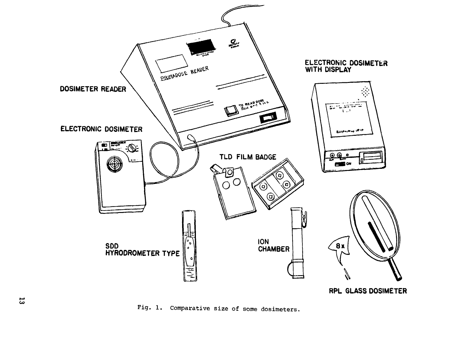

Fig. 1. Comparative size of some dosimeters.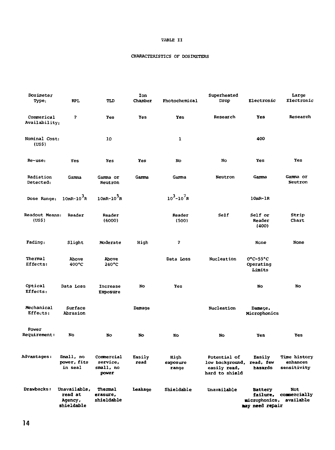#### **TABLE II**

#### **CHARACTERISTICS OF DOSIMETERS**

| Dosimeter                    |                                                  |                                              | Ion            |                           | Superheated                                                                 |                                                                | Large                                   |
|------------------------------|--------------------------------------------------|----------------------------------------------|----------------|---------------------------|-----------------------------------------------------------------------------|----------------------------------------------------------------|-----------------------------------------|
| Type:                        | <b>RPL</b>                                       | TLD                                          | Chamber        | Photochemical             | Drop                                                                        | Electronic                                                     | Electronic                              |
| Commerical<br>Availability;  | $\overline{\mathbf{z}}$                          | <b>Yes</b>                                   | Yes            | Yes                       | Research                                                                    | Yes                                                            | Research                                |
| Nominal Cost:<br>(US\$)      |                                                  | 10                                           |                | $\mathbf{1}$              |                                                                             | 400                                                            |                                         |
| Re-use:                      | Yes                                              | Yes                                          | Yes            | No                        | No                                                                          | Yes                                                            | Yes                                     |
| Radiation<br>Detected:       | Gamma                                            | Gamma or<br>Neutron                          | Gamma          | Gamma                     | Neutron                                                                     | Garma                                                          | Gamma or<br>Neutron                     |
| Dose Range:                  | $10mR-10$ <sup>3</sup> R                         | $10mR - 10^{3}R$                             |                | $10^3 - 10^7 R$           |                                                                             | $10mR-1R$                                                      |                                         |
| Readout Means:<br>(US\$)     | Reader                                           | Reader<br>(6000)                             |                | Reader<br>(500)           | Self                                                                        | Self or<br>Reader<br>(400)                                     | Strip<br>Chart                          |
| Fading:                      | Slight                                           | Moderate                                     | High           | $\overline{\mathbf{r}}$   |                                                                             | None                                                           | None                                    |
| Thermal<br>Effects:          | Above<br>400°C                                   | Above<br>$240^{\circ}$ C                     |                | Data Loss                 | Nucleation                                                                  | $0^{\circ}$ C-55 $^{\circ}$ C<br>Operating<br>Limits           |                                         |
| Optical<br>Effects:          | Data Loss                                        | Increase<br>EXposure                         | No             | Yes                       |                                                                             | No                                                             | No                                      |
| Mechanical<br>Effects:       | Surface<br>Abrasion                              |                                              | Damage         |                           | Nucleation                                                                  | Damage,<br>Microphonics                                        |                                         |
| Power<br><b>Requirement:</b> | No                                               | No                                           | No             | No                        | No                                                                          | Yes                                                            | Yes                                     |
| <b>Advantages:</b>           | Small, no<br>power, fits<br>in seal              | Commercial<br>service,<br>small, no<br>power | Easily<br>read | High<br>exposure<br>range | Potential of<br>low background, read, few<br>easily read,<br>hard to shield | <b>Easily</b><br>hazards                                       | Time history<br>enhances<br>sensitivity |
| Drawbacks:                   | Unavailable,<br>read at<br>Agency,<br>shieldable | Thermal<br>erasure,<br>shieldable            | Leakage        | Shieldable                | Unavailable                                                                 | <b>Battery</b><br>failure,<br>microphonics,<br>may need repair | Not<br>commercially<br>available        |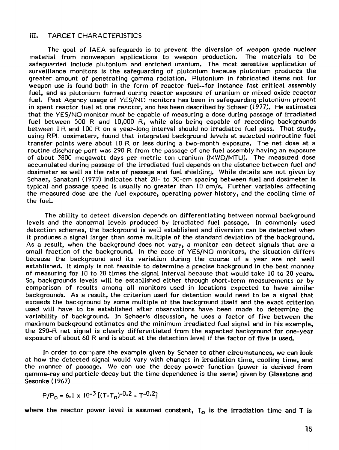#### III. TARGET CHARACTERISTICS

The goal of IAEA safeguards is to prevent the diversion of weapon grade nuclear material from nonweapon applications to weapon production. The materials to be safeguarded include plutonium and enriched uranium. The most sensitive application of surveillance monitors is the safeguarding of plutonium because plutonium produces the greater amount of penetrating gamma radiation. Plutonium in fabricated items not for weapon use is found both in the form of reactor fuel—for instance fast critical assembly fuel, and as plutonium formed during reactor exposure of uranium or mixed oxide reactor fuel. Past Agency usage of YES/NO monitors has been in safeguarding plutonium present in spent reactor fuel at one reactor, and has been described by Schaer (1977). He estimates that the YES/NO monitor must be capable of measuring a dose during passage of irradiated fuel between 500 R and 10,000 R, while also being capable of recording backgrounds between 1 R and 100 R on a year-long interval should no irradiated fuel pass. That study, using RPL dosimeter?, found that integrated background levels at selected nonroutine fuel transfer points were about 10 R or less during a two-month exposure. The net dose at a routine discharge port was 290 R from the passage of one fuel assembly having an exposure of about 3800 megawatt days per metric ton uranium (MWD/MTU). The measured dose accumulated during passage of the irradiated fuel depends on the distance between fuel and dosimeter as well as the rate of passage and fuel shielding. While details are not given by Schaer, Sanatani (1979) indicates that 20- to 30-cm spacing between fuel and dosimeter is typical and passage speed is usually no greater than 10 cm/s. Further variables affecting the measured dose are the fuel exposure, operating power history, and the cooling time of the fuel.

The ability to detect diversion depends on differentiating between normal background levels and the abnormal levels produced by irradiated fuel passage. In commonly used detection schemes, the background is well established and diversion can be detected when it produces a signal larger than some multiple of the standard deviation of the background. As a result, when the background does not vary, a monitor can detect signals that are a small fraction of the background. In the case of YES/NO monitors, the situation differs because the background and its variation during the course of a year are not well established. It simply is not feasible to determine a precise background in the best manner of measuring for 10 to 20 times the signal interval because that would take 10 to 20 years. So, backgrounds levels will be established either through short-term measurements or by comparison of results among all monitors used in locations expected to have similar backgrounds. As a result, the criterion used for detection would need to be a signal that exceeds the background by some multiple of the background itself and the exact criterion used will have to be established after observations have been made to determine the variability of background. In Schaer's discussion, he uses a factor of five between the maximum background estimates and the minimum irradiated fuel signal and in his example, the 290-R net signal is clearly differentiated from the expected background for one-year exposure of about 60 R and is about at the detection level if the factor of five is used.

In order to compare the example given by Schaer to other circumstances, we can look at how the detected signal would vary with changes in irradiation time, cooling time, and the manner of passage. We can use the decay power function (power is derived from gamma-ray and particle decay but the time dependence is the same) given by Glasstone and Sesonke (1967)

$$
P/P_0 = 6.1 \times 10^{-3} [(T-T_0)^{-0.2} - T^{-0.2}]
$$

where the reactor power level is assumed constant,  $T_0$  is the irradiation time and T is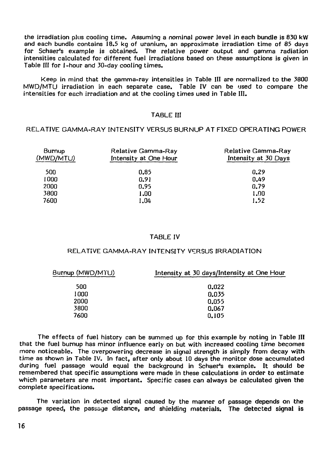the irradiation plus cooling time. Assuming a nominal power level in each bundle is 830 kW and each bundle contains 18.5 kg of uranium, an approximate irradiation time of 85 days for Schaer's example is obtained. The relative power output and gamma radiation intensities calculated for different fuel irradiations based on these assumptions is given in Table III for 1-hour and 30-day cooling times.

Keep in mind that the gamma-ray intensities in Table III are normalized to the 3800 MWD/MTU irradiation in each separate case. Table IV can be used to compare the intensities for each irradiation and at the cooling times used in Table III.

#### TABLE III

#### RELATIVE GAMMA-RAY INTENSITY VERSUS BURNUP AT FIXED OPERATING POWER

| Burnup<br>(MWD/MTU) | Relative Gamma-Ray<br>Intensity at One Hour | Relative Gamma-Ray<br>Intensity at 30 Days |
|---------------------|---------------------------------------------|--------------------------------------------|
| 500                 | 0.85                                        | 0.29                                       |
| 1000                | 0.91                                        | 0.49                                       |
| 2000                | 0.95                                        | 0.79                                       |
| 3800                | 1.00                                        | 1.90                                       |
| 7600                | 1.04                                        | 1.52                                       |
|                     |                                             |                                            |

#### TABLE IV

#### RELATIVE GAMMA-RAY INTENSITY VERSUS IRRADIATION

| Burnup (MWD/MTU) | Intensity at 30 days/Intensity at One Hour |  |  |
|------------------|--------------------------------------------|--|--|
| 500              | 0.022                                      |  |  |
| 1000             | 0.035                                      |  |  |
| 2000             | 0.055                                      |  |  |
| 3800             | 0,067                                      |  |  |
| 7600             | 0.105                                      |  |  |
|                  |                                            |  |  |

The effects of fuel history can be summed up for this example by noting in Table III that the fuel burnup has minor influence early on but with increased cooling time becomes more noticeable. The overpowering decrease in signal strength is simply from decay with time as shown in Table IV. In fact, after only about 10 days the monitor dose accumulated during fuel passage would equal the background in Schaer's example. It should be remembered that specific assumptions were made in these calculations in order to estimate which parameters are most important. Specific cases can always be calculated given the complete specifications.

The variation in detected signal caused by the manner of passage depends on the passage speed, the passage distance, and shielding materials. The detected signal is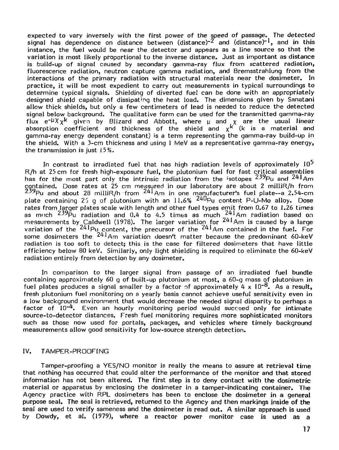expected to vary inversely with the first power of the speed of passage. The detected signal has dependence on distance between (distance)<sup>-2</sup> and (distance)<sup>-1</sup>, and in this instance, the fuel would be near the detector and appears as a line source so that the variation is most likely proportional to the inverse distance. Just as important as distance is build-up of signal caused by secondary gamma-ray flux from scattered radiation, fluorescence radiation, neutron capture gamma radiation, and Bremsstrahlung from the interactions of the primary radiation with structural materials near the dosimeter. In practice, it will be most expedient to carry out measurements in typical surroundings to determine typical signals. Shielding of diverted fuel can be done with an appropriately designed shield capable of dissipating the heat load. The dimensions given by Sanatani allow thick shields, but only a few centimeters of lead is needed to reduce the detected signal below background. The qualitative form can be used for the transmitted gamma-ray  $f$ lux  $e^{-\mu}X$ <sub>x</sub> $k$  given by Blizard and Abbott, where  $\mu$  and  $\chi$  are the usual linear absorption coefficient and thickness of the shield and  $x^{k^{\prime}}$  (k is a material and gamma-ray energy dependent constant) is a term representing the gamma-ray build-up in the shield. With a 3-cm thickness and using 1 MeV as a representative gamma-ray energy, the transmission is just  $15\%$ .

In contrast to irradiated fuel that has high radiation levels of approximately  $10^5$ R/h at 25 cm for fresh high-exposure fuel, the plutonium fuel for fast critical assemblies has for the most part only the intrinsic radiation from the  $i$ sotopes  $239P_u$  and  $241Am$ contained. Dose rates at 25 cm measured in our laboreitory are about 2 milliR/h from  $^{Z \rm 29}$ Pu and about 28 milliR/h from  $^{Z \rm 41}$ Am in one manufacturer's fuel plate–-a 2.54-cm plate containing 25 q of plutonium with an  $11.6\%$   $^{240}$ Pu content P-U-Mo alloy. Dose rates from larger plates scale with length and other fuel types emit from 0.67 to 1.26 times as much  $^{239}$ Pu radiation and 0.4 to 4.5 times as much  $^{241}$ Am radiation based on measurements by Caldwell (1978). The larger variation for  $^{241}$ Am is caused by a large variation of the  $^{241}$ Pu content, the precursor of the  $^{241}$ Am contained in the fuel. For some dosimeters the  $^{241}$ Am variation doesn't matter because the predominant 60-keV radiation is too soft to detect; this is the case for filtered dosimeters that have little efficiency below 80 keV. Similarly, only light shielding is required to eliminate the 60-keV radiation entirely from detection by any dosimeter.

In comparison to the larger signal from passage of an irradiated fuel bundle containing approximately 60 g of built-up plutonium at most, a 60-g mass of plutonium in fuel plates produces a signal smaller by a factor of approximately 4 x  $10^{-8}$ . As a result, fresh plutonium fuel monitoring on a yearly basis cannot achieve useful sensitivity even in a low background environment that would decrease the needed signal disparity to perhaps a factor of  $10^{-4}$ . Even an hourly monitoring period would succeed only for intimate source-to-detector distances. Fresh fuel monitoring requires more sophisticated monitors such as those now used for portals, packages, and vehicles where timely background measurements allow good sensitivity for low-source strength detection.

#### IV. TAMPER-PROOFING

Tamper-proofing a YES/NO monitor is really the means to assure at retrieval time that nothing has occurred that could alter the performance of the monitor and that stored information has not been altered. The first step is to deny contact with the dosimetric material or apparatus by enclosing the dosimeter in a tamper-indicating container. The Agency practice with RPL dosimeters has been to enclose the dosimeter in a general purpose seal. The seal is retrieved, returned to the Agency and then markings inside of the seal are used to verify sameness and the dosimeter is read out. A similar approach is used by Dowdy, et al. (1979), where a reactor power monitor case is used as a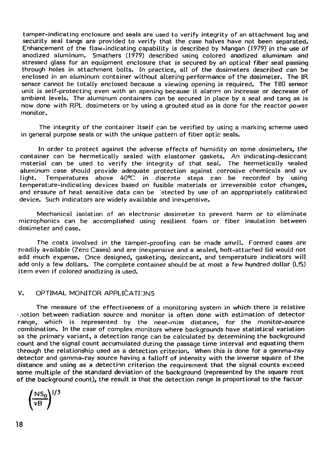tamper-indicating enclosure and seals are used to verify integrity of an attachment lug and security seal tangs are provided to verify that the case halves have not been separated. Enhancement of the flaw-indicating capability is described by Mangan (1979) in the use of anodized aluminum. Smathers (1979) described using colored anodized aluminum and stressed glass for an equipment enclosure that is secured by an optical fiber seal passing through holes in attachment bolts. In practice, all of the dosimeters described can be enclosed in an aluminum container without altering performance of the dosimeter. The IR sensor cannot be totally enclosed because a viewing opening is required. The T80 sensor unit is self-protecting even with an opening because it alarms on increase or decrease of ambient levels. The aluminum containers can be secured in place by a seal and tang as is now done with RPL dosimeters or by using a grouted stud as is done for the reactor power monitor.

The integrity of the container itself can be verified by using a marking scheme used in general purpose seals or with the unique pattern of fiber optic seals.

In order to protect against the adverse effects of humidity on some dosimeters, the container can be hermetically sealed with elastomer gaskets. An indicating-desiccant material can be used to verify the integrity of that seal. The hermetically sealed aluminum case should provide adequate protection against corrosive chemicals and uv light. Temperatures above 40°C in discrete steps can be recorded by using temperature-indicating devices based on fusible materials or irreversible color changes, and erasure of heat sensitive data can be 'elected by use of an appropriately calibrated device. Such indicators are widely available and inexpensive.

Mechanical isolation of an electronic dosimeter to prevent harm or to eliminate microphonics can be accomplished using resilient foam or fiber insulation between dosimeter and case.

The costs involved in the tamper-proofing can be made smell. Formed cases are readily available (Zero Cases) and are inexpensive and a sealed, bolt-attached lid would not add much expense. Once designed, gasketing, desiccant, and temperature indicators will add only a few dollars. The complete container should be at most a few hundred dollar (US) item even if colored anodizing is used.

#### V. OPTIMAL MONITOR APPLICATIONS

The measure of the effectiveness of a monitoring system in which there is relative motion between radiation source and monitor is often done with estimation of detector range, which is represented by the near-miss distance, for the monitor-source combination. In the case of complex monitors where backgrounds have statistical variation as the primary variant, a detection range can be calculated by determining the background count and the signal count accumulated during the passage time interval and equating them through the relationship used as a detection criterion. When this is done for a gamma-ray detector and gamma-ray source having a falloff of intensity with the inverse square of the distance and using as a detection criterion the requirement that the signal counts exceed some multiple of the standard deviation of the background (represented by the square root of the background count), the result is that the detection range is proportional to the factor

$$
\left(\frac{NS_0}{vB}\right)^{1/3}
$$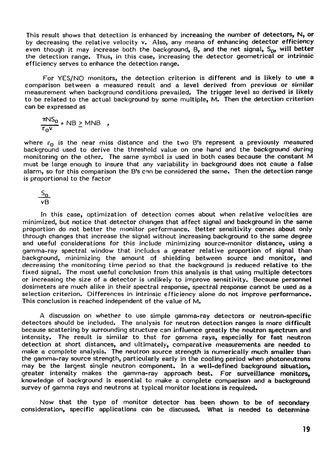This result shows that detection is enhanced by increasing the **number of detectors, N, or** by decreasing the relative velocity v. Also, any means of enhancing detector **efficiency** even though it may increase both the background, B, and the net signal, S<sub>D</sub>, will better the detection range. Thus, in this case, increasing the detector geometrical or intrinsic efficiency serves to enhance the detection range.

For YES/NO monitors, the detection criterion is different and is likely to use **a** comparison between a measured result and a level derived from previous or similar measurement when background conditions prevailed. The trigger level so derived is **likely** to be related to the actual background by some multiple, M. Then the detection criterion can be expressed as

 $\frac{\pi NS_0}{r_0 v}$  + NB  $\geq$  MNB ,

where  $r_0$  is the near miss distance and the two B's represent a previously measured background used to derive the threshold value on one hand and the background during monitoring on the other. The same symbol is used in both cases because the constant M must be large enough to insure that any variability in background does not cause **a** false alarm, so for this comparison the B's can be considered the same. Then the detection range is proportional to the factor

<u>یہ </u> vB

In this case, optimization of detection comes about when relative velocities are minimized, but notice that detector changes that affect signal and background in the same proportion do not better the monitor performance. Better sensitivity comes **about only** through changes that increase the signal without increasing background to the same degree and useful considerations for this include minimizing source-monitor distance, using **a** gamma-ray spectral window that includes a greater relative proportion of signal than background, minimizing the amount of shielding between source and monitor, **and** decreasing the monitoring time period so that the background is reduced relative to the fixed signal. The most useful conclusion from this analysis is that using multiple detectors or increasing the size of a detector is unlikely to improve sensitivity. Because **personnel** dosimeters are much alike in their spectral response, spectral response cannot be used as a selection criterion. Differences in intrinsic efficiency alone do not improve performance. This conclusion is reached independent of the value of M.

A discussion on whether to use simple gamma-ray detectors or neutron-specific detectors should be included. The analysis for neutron detection ranges is more **difficult** because scattering by surrounding structure can influence greatly the neutron spectrum **and** intensity. The result is similar to that for gamma rays, especially **for fast neutron** detection at short distances, and ultimately, comparative measurements are needed **to** make a complete analysis. The neutron source strength is numerically **much smaller than** the gamma-ray source strength, particularly early in the cooling period **when photoneutrons** may be the largest single neutron component. **In a well-defined background situation,** greater intensity makes the gamma-ray approach **best. For surveillance monitors,** knowledge of background is essential to make a complete **comparison and a background** survey of gamma rays and neutrons at typical monitor **locations is required.**

Now that the type of monitor detector has been **shown to be of secondary** consideration, specific applications can be discussed. **What is needed to determine**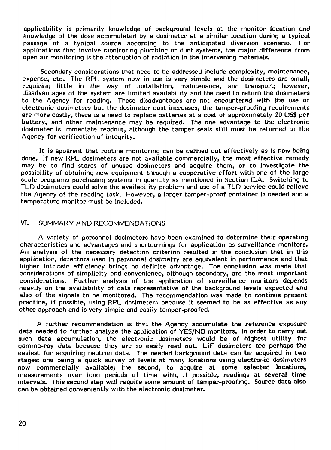applicability is primarily knowledge of background levels at the monitor location and knowledge of the dose accumulated by a dosimeter at a similar location during a typical passage of a typical source according to the anticipated diversion scenario. For applications that involve monitoring plumbing or duct systems, the major difference from open air monitoring is the attenuation of radiation in the intervening materials.

Secondary considerations that need to be addressed include complexity, maintenance, expense, etc. The RPL system now in use is very simple and the dosimeters are small, requiring little in the way of installation, maintenance, and transport; however, disadvantages of the system are limited availability and the need to return the dosimeters to the Agency for reading. These disadvantages are not encountered with the use of electronic dosimeters but the dosimeter cost increases, the tamper-proofing requirements are more costly, there is a need to replace batteries at a cost of approximately 20 US\$ per battery, and other maintenance may be required. The one advantage to the electronic dosimeter is immediate readout, although the tamper seals still must be returned to the Agency for verification of integrity.

It is apparent that routine monitoring can be carried out effectively as is now being done. If new RPL dosimeters are not available commercially, the most effective remedy may be to find stores of unused dosimeters and acquire them, or to investigate the possibility of obtaining new equipment through a cooperative effort with one of the large scale programs purchasing systems in quantity as mentioned in Section II.A. Switching to TLD dosimeters could solve the availability problem and use of a TLD service could relieve the Agency of the reading task. However, a larger tamper-proof container is needed and a temperature monitor must be included.

#### VI. SUMMARY AND RECOMMENDATIONS

A variety of personnel dosimeters have been examined to determine their operating characteristics and advantages and shortcomings for application as surveillance monitors. An analysis of the necessary detection criterion resulted in the conclusion that in this application, detectors used in personnel dosimetry are equivalent in performance and that higher intrinsic efficiency brings no definite advantage. The conclusion was made that considerations of simplicity and convenience, although secondary, are the most important considerations. Further analysis of the application of surveillance monitors depends heavily on the availability of data representative of the background levels expected and also of the signals to be monitored. The recommendation was made to continue present practice, if possible, using RPL dosimeters because it seemed to be as effective as any other approach and is very simple and easily tamper-proofed.

A further recommendation is the: the Agency accumulate the reference exposure data needed to further analyze the application of YES/NO monitors. In order to carry out such data accumulation, the electronic dosimeters would be of highest utility for gamma-ray data because they are so easily read out. LiF dosimeters are perhaps the easiest for acquiring neutron data. The needed background data can be acquired in two stages: one being a quick survey of levels at many locations using electronic dosimeters now commercially available; the second, to acquire at some selected locations, measurements over long periods of time with, if possible, readings at several time intervals. This second step will require some amount of tamper-proofing. Source data also can be obtained conveniently with the electronic dosimeter.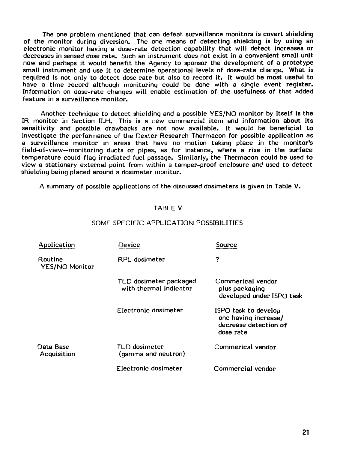The one problem mentioned that can defeat surveillance monitors is covert shielding of the monitor during diversion. The one means of detecting shielding is by using an electronic monitor having a dose-rate detection capability that will detect increases or decreases in sensed dose rate. Such an instrument does not exist in a convenient small unit now and perhaps it would benefit the Agency to sponsor the development of a prototype small instrument and use it to determine operational levels of dose-rate change. What is required is not only to detect dose rate but also to record it. It would be most useful to have a time record although monitoring could be done with a single event register. Information on dose-rate changes will enable estimation of the usefulness of that added feature in a surveillance monitor.

Another technique to detect shielding and a possible YES/NO monitor by itself is the IR monitor in Section II.H. This is a new commercial item and information about its sensitivity and possible drawbacks are not now available. It would be beneficial to investigate the performance of the Dexter Research Thermacon for possible application as a surveillance monitor in areas that have no motion taking place in the monitor's field-of-view—monitoring ducts or pipes, as for instance, where a rise in the surface temperature could flag irradiated fuel passage. Similarly, the Thermacon could be used to view a stationary external point from within a tamper-proof enclosure and used to detect shielding being placed around a dosimeter monitor.

A summary of possible applications of the discussed dosimeters is given in Table V.

#### TABLE V

| Application                      | Device                                           | Source                                                                             |
|----------------------------------|--------------------------------------------------|------------------------------------------------------------------------------------|
| Routine<br><b>YES/NO Monitor</b> | RPI dosimeter                                    | ?                                                                                  |
|                                  | TLD dosimeter packaged<br>with thermal indicator | Commerical vendor<br>plus packaging<br>developed under ISPO task                   |
|                                  | Flectronic dosimeter                             | ISPO task to develop<br>one having increase/<br>decrease detection of<br>dose rate |
| Data Base<br>Acquisition         | TLD dosimeter<br>(gamma and neutron)             | Commerical vendor                                                                  |
|                                  | Flectronic dosimeter                             | Commercial vendor                                                                  |

#### SOME SPECIFIC APPLICATION POSSIBILITIES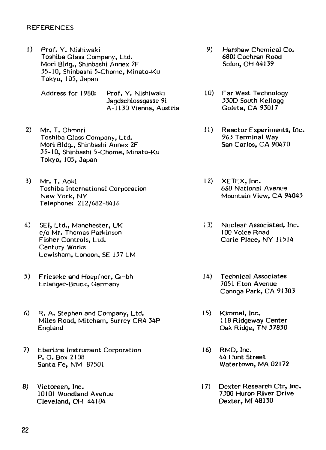#### **REFERENCES**

- 1) Prof. Y. Nishiwaki Toshiba Glass Company, Ltd. Mori Bldg., Shinbashi Annex 2F 35-10, Shinbashi 5-Chome, Minato-Ku Tokyo, 105, Japan
	- Address for 1980: Prof. Y. Nishiwaki Jagdschlossgasse 91 A-1130 Vienna, Austria
- 2) Mr. T. Ohmori Toshiba Glass Company, Ltd. Mori Bldg., Shinbashi Annex 2F 35-10, Shinbashi 5-Chome, Minato-Ku Tokyo, 105, Japan
- 3) Mr. T. Aoki Toshiba international Corporation New York, NY Telephone: 212/682-8416
- 4) SEI, Ltd,, Manchester, UK c/o Mr. Thomas Parkinson Fisher Controls, Ltd. Century Works Lewisham, London, SE 137 LM
- 5) Frieseke and Hoepfner, Gmbh Erlanger-Bruck, Germany
- 6) R. A. Stephen and Company, Ltd. Miles Road, Mitcham, Surrey CR4 34P England
- 7) Eberline Instrument Corporation P. O. Box 2108 Santa Fe, NM 87501
- 8) Victoreen, Inc. 10101 Woodland Avenue Cleveland, OH 44104
- 9) Harshaw Chemical Co. 6801 Cochran Road Solon, OH 44139
- 10) Far West Technology 330D South Kellogg Goleta, CA 93017
- 11) Reactor Experiments, Inc. 963 Terminal Way San Carlos, CA 90470
- 12) XETEX, Inc. 660 National Avenue Mountain View, CA 94043
- 13) Nuclear Associated, Inc. 100 Voice Road Carle Place, NY 11514
- 14) Technical Associates 7051 Eton Avenue Canoga Park, CA 91303
- 15) Kimmel, Inc. 118 Ridgeway Center Oak Ridge, TN 37830
- 16) RMD, Inc. 44 Hunt Street Watertown, MA 02172
- 17) Dexter Research Ctr, Inc. 7300 Huron River Drive Dexter, MI 48130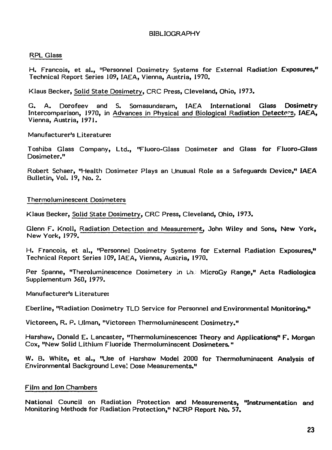#### BIBLIOGRAPHY

#### RPL Glass

H. Francois, et al., "Personnel Dosimetry Systems for External Radiation Exposures," Technical Report Series 109, IAEA, Vienna, Austria, 1970.

Klaus Becker, Solid State Dosimetry, CRC Press, Cleveland, Ohio, 1973.

G. A. Dorofeev and S. Somasundaram, IAEA International Glass Dosimetry Intercomparison, 1970, in Advances in Physical and Biological Radiation Detectors, IAEA, Vienna, Austria, 1971.

Manufacturer's Literature:

Toshiba Glass Company, Ltd., "Fluoro-Glass Dosimeter and Glass for Fluoro-Glass Dosimeter."

Robert Schaer, "Health Dosimeter Plays an Unusual Role as a Safeguards Device," IAEA Bulletin, Vol. 19, No. 2.

#### Thermoluminescent Dosimeters

Klaus Becker, Solid State Dosimetry, CRC Press, Cleveland, Ohio, 1973.

Glenn F. Knoll, Radiation Detection and Measurement, John Wiley and Sons, New York, New York, 1979.

H. Francois, et al., "Personnel Dosimetry Systems for External Radiation Exposures," Technical Report Series 109, IAEA, Vienna, Austria, 1970.

Per Spanne, "Theroluminescence Dosimetery in the MicroGy Range," Acta Radiologica Supplementum 360, 1979.

Manufacturer's Literature:

Eberline, "Radiation Dosimetry TLD Service for Personnel and Environmental Monitoring."

Victoreen, R. P. Ulman, "Victoreen Thermoluminescent Dosimetry."

Harshaw, Donald E. Lancaster, "Thermoluminescence: Theory and Applications;" F. Morgan Cox, "New Solid Lithium Fluoride Thermoluminscent Dosimeters."

W. B. White, et al., "Use of Harshaw Model 2000 for Thermoluminscent Analysis of Environmental Background Leve! Dose Measurements."

#### Film and Ion Chambers

National Council on Radiation Protection and Measurements, "Instrumentation and Monitoring Methods for Radiation Protection," NCRP Report No. 57.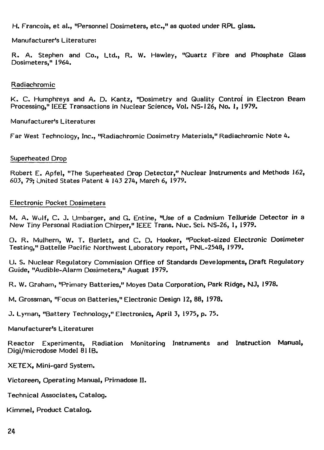H. Francois, et al., "Personnel Dosimeters, etc.," as quoted under RPL glass.

Manufacturer's Literature;

R. A. Stephen and Co., Ltd., R. W. Hawley, "Quartz Fibre and Phosphate Glass Dosimeters," 1964.

#### Radiachromic

K. C. Humphreys and A. D. Kantz, "Dosimetry and Quality Control in Electron Beam Processing," IEEE Transactions in Nuclear Science, Vol. NS-126, No. 1, 1979.

Manufacturer's Literature:

Far West Technology, Inc., "Radiachromic Dosimetry Materials," Radiachromic Note 4.

#### Superheated Drop

Robert E. Apfel, "The Superheated Drop Detector," Nuclear Instruments and Methods 162, 603, 79; United States Patent 4 143 274, March 6, 1979.

#### Electronic Pocket Dosimeters

M. A. Wulf, C. J. Umbarger, and G. Entine, "Use of a Cadmium Telluride Detector in a New Tiny Personal Radiation Chirper," IEEE Trans. Nuc. Sci. NS-26, 1, 1979.

O. R. Mulhern, W. T. Barlett, and C. D. Hooker, "Pocket-sized Electronic Dosimeter Testing," Battelle Pacific Northwest Laboratory report, PNL-2548, 1979.

U. S. Nuclear Regulatory Commission Office of Standards Developments, Draft Regulatory Guide, "Audible-Alarm Dosimeters," August 1979.

R. W. Graham, "Primary Batteries," Moyes Data Corporation, Park Ridge, NJ, 1978.

M. Grossman, "Focus on Batteries," Electronic Design 12, 88, 1978.

J. Lyman, "Battery Technology," Electronics, April 3, 1975, p. 75.

Manufacturer's Literature:

Reactor Experiments, Radiation Monitoring Instruments and Instruction Manual, Digi/microdose Model 81 IB.

XETEX, Mini-gard System.

Victoreen, Operating Manual, Primadose II.

Technical Associates, Catalog.

Kimmel, Product Catalog.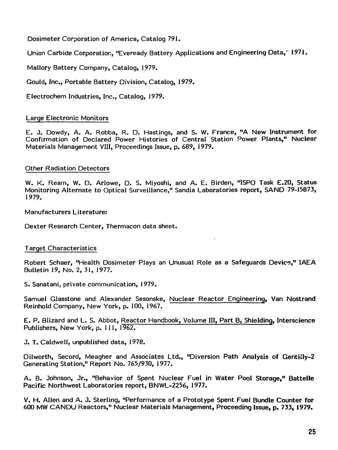Dosimeter Corporation of America, Catalog 791.

Union Carbide Corporation, "Eveready Battery Applications and Engineering Data,' 1971.

Mallory Battery Company, Catalog, 1979.

Gould, Inc., Portable Battery Division, Catalog, 1979.

Electrochem Industries, Inc., Catalog, 1979.

#### Large Electronic Monitors

E. J. Dowdy, A. A. Robba, R. D. Hastings, and S. W. France, "A New Instrument for Confirmation of Declared Power Histories of Central Station Power Plants," Nuclear Materials Management VIII, Proceedings Issue, p. 689, 1979.

#### Other Radiation Detectors

W. K. Ream, W. D. Arlowe, D. S. Miyoshi, and A. E. Birden, "ISPO Task E.20, Status Monitoring Alternate to Optical Surveillance," Sandia Laboratories report, SAND 79-15873, 1979.

Manufacturers Literature:

Dexter Research Center, Thermacon data sheet.

#### Target Characteristics

Robert Schaer, "Health Dosimeter Plays an Unusual Role as a Safeguards Device," IAEA Bulletin 19, No. 2, 31, 1977.

S. Sanatani, private communication, 1979.

Samuel Glasstone and Alexander Sesonske, Nuclear Reactor Engineering, Van Nostrand Reinhold Company, New York, p. 100, 1967.

E. P. Blizard and L. S. Abbot, Reactor Handbook, Volume HI, Part B, Shielding, Interscience Publishers, New York, p. 111, 1962.

J. T. Caldwell, unpublished data, 1978.

Dilworth, Secord, Meagher and Associates Ltd., "Diversion Path Analysis of Gentiily-2 Generating Station," Report No. 765/930, 1977.

A. B. Johnson, Jr., "Behavior of Spent Nuclear Fuel in Water Pool Storage," Battelle Pacific Northwest Laboratories report, BNWL-2256, 1977.

V. H. Allen and A. J. Sterling, "Performance of a Prototype Spent Fuel Bundle Counter **for** 600 MW CANDU Reactors," Nuclear Materials Management, Proceeding **Issue,** p. 733, **1979.**